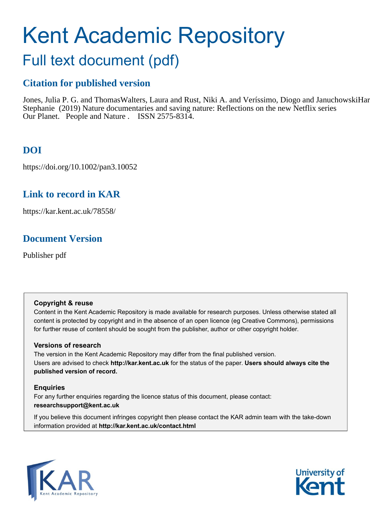# Kent Academic Repository

## Full text document (pdf)

## **Citation for published version**

Jones, Julia P. G. and Thomas Walters, Laura and Rust, Niki A. and Veríssimo, Diogo and Januchowski Hartley, Stephanie (2019) Nature documentaries and saving nature: Reflections on the new Netflix series Our Planet. People and Nature . ISSN 2575-8314.

## **DOI**

https://doi.org/10.1002/pan3.10052

## **Link to record in KAR**

https://kar.kent.ac.uk/78558/

## **Document Version**

Publisher pdf

#### **Copyright & reuse**

Content in the Kent Academic Repository is made available for research purposes. Unless otherwise stated all content is protected by copyright and in the absence of an open licence (eg Creative Commons), permissions for further reuse of content should be sought from the publisher, author or other copyright holder.

#### **Versions of research**

The version in the Kent Academic Repository may differ from the final published version. Users are advised to check **http://kar.kent.ac.uk** for the status of the paper. **Users should always cite the published version of record.**

#### **Enquiries**

For any further enquiries regarding the licence status of this document, please contact: **researchsupport@kent.ac.uk**

If you believe this document infringes copyright then please contact the KAR admin team with the take-down information provided at **http://kar.kent.ac.uk/contact.html**



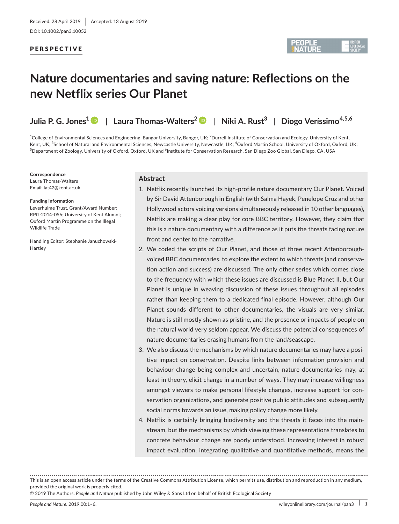DOI: 10.1002/pan3.10052

#### PERSPECTIVE



## **Nature documentaries and saving nature: Reflections on the new Netflix series Our Planet**

**Julia P. G. Jones[1](https://orcid.org/0000-0002-5199-3335)** | **Laura Thomas‐Walters2** | **Niki A. Rust3** | **Diogo Veríssimo4,5,6**

 $^{\rm 1}$ College of Environmental Sciences and Engineering, Bangor University, Bangor, UK;  $^{\rm 2}$ Durrell Institute of Conservation and Ecology, University of Kent, Kent, UK; <sup>3</sup>School of Natural and Environmental Sciences, Newcastle University, Newcastle, UK; <sup>4</sup>Oxford Martin School, University of Oxford, Oxford, UK; <sup>5</sup>Department of Zoology, University of Oxford, Oxford, UK and <sup>6</sup>Institute for Conservation Research, San Diego Zoo Global, San Diego, CA, USA

**Correspondence** Laura Thomas‐Walters Email: [lat42@kent.ac.uk](mailto:lat42@kent.ac.uk)

#### **Funding information**

Leverhulme Trust, Grant/Award Number: RPG‐2014‐056; University of Kent Alumni; Oxford Martin Programme on the Illegal Wildlife Trade

Handling Editor: Stephanie Januchowski‐ Hartley

#### **Abstract**

- 1. Netflix recently launched its high-profile nature documentary Our Planet. Voiced by Sir David Attenborough in English (with Salma Hayek, Penelope Cruz and other Hollywood actors voicing versions simultaneously released in 10 other languages), Netflix are making a clear play for core BBC territory. However, they claim that this is a nature documentary with a difference as it puts the threats facing nature front and center to the narrative.
- 2. We coded the scripts of Our Planet, and those of three recent Attenboroughvoiced BBC documentaries, to explore the extent to which threats (and conserva‐ tion action and success) are discussed. The only other series which comes close to the frequency with which these issues are discussed is Blue Planet II, but Our Planet is unique in weaving discussion of these issues throughout all episodes rather than keeping them to a dedicated final episode. However, although Our Planet sounds different to other documentaries, the visuals are very similar. Nature is still mostly shown as pristine, and the presence or impacts of people on the natural world very seldom appear. We discuss the potential consequences of nature documentaries erasing humans from the land/seascape.
- 3. We also discuss the mechanisms by which nature documentaries may have a positive impact on conservation. Despite links between information provision and behaviour change being complex and uncertain, nature documentaries may, at least in theory, elicit change in a number of ways. They may increase willingness amongst viewers to make personal lifestyle changes, increase support for con‐ servation organizations, and generate positive public attitudes and subsequently social norms towards an issue, making policy change more likely.
- 4. Netflix is certainly bringing biodiversity and the threats it faces into the mainstream, but the mechanisms by which viewing these representations translates to concrete behaviour change are poorly understood. Increasing interest in robust impact evaluation, integrating qualitative and quantitative methods, means the

© 2019 The Authors. *People and Nature* published by John Wiley & Sons Ltd on behalf of British Ecological Society

This is an open access article under the terms of the Creative Commons [Attribution](http://creativecommons.org/licenses/by/4.0/) License, which permits use, distribution and reproduction in any medium, provided the original work is properly cited.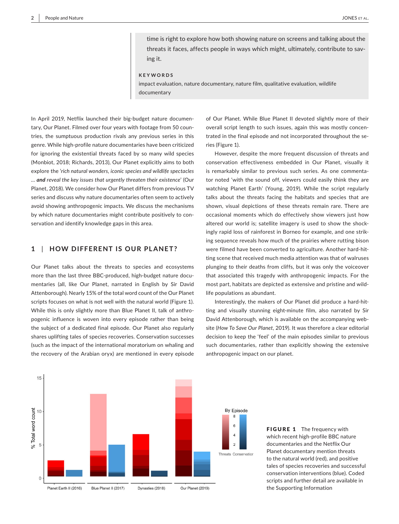time is right to explore how both showing nature on screens and talking about the threats it faces, affects people in ways which might, ultimately, contribute to sav‐ ing it.

**KEYWORDS**

impact evaluation, nature documentary, nature film, qualitative evaluation, wildlife documentary

In April 2019, Netflix launched their big‐budget nature documen‐ tary, Our Planet. Filmed over four years with footage from 50 coun‐ tries, the sumptuous production rivals any previous series in this genre. While high‐profile nature documentaries have been criticized for ignoring the existential threats faced by so many wild species (Monbiot, 2018; Richards, 2013), Our Planet explicitly aims to both explore the '*rich natural wonders, iconic species and wildlife spectacles … and reveal the key issues that urgently threaten their existence*' (Our Planet, 2018). We consider how Our Planet differs from previous TV series and discuss why nature documentaries often seem to actively avoid showing anthropogenic impacts. We discuss the mechanisms by which nature documentaries might contribute positively to conservation and identify knowledge gaps in this area.

#### **1** | **HOW DIFFERENT IS OUR PLANET?**

Our Planet talks about the threats to species and ecosystems more than the last three BBC-produced, high-budget nature documentaries (all, like Our Planet, narrated in English by Sir David Attenborough). Nearly 15% of the total word count of the Our Planet scripts focuses on what is not well with the natural world (Figure 1). While this is only slightly more than Blue Planet II, talk of anthropogenic influence is woven into every episode rather than being the subject of a dedicated final episode. Our Planet also regularly shares uplifting tales of species recoveries. Conservation successes (such as the impact of the international moratorium on whaling and the recovery of the Arabian oryx) are mentioned in every episode

of Our Planet. While Blue Planet II devoted slightly more of their overall script length to such issues, again this was mostly concen‐ trated in the final episode and not incorporated throughout the se‐ ries (Figure 1).

However, despite the more frequent discussion of threats and conservation effectiveness embedded in Our Planet, visually it is remarkably similar to previous such series. As one commentator noted 'with the sound off, viewers could easily think they are watching Planet Earth' (Young, 2019). While the script regularly talks about the threats facing the habitats and species that are shown, visual depictions of these threats remain rare. There are occasional moments which do effectively show viewers just how altered our world is; satellite imagery is used to show the shock‐ ingly rapid loss of rainforest in Borneo for example, and one strik‐ ing sequence reveals how much of the prairies where rutting bison were filmed have been converted to agriculture. Another hard-hitting scene that received much media attention was that of walruses plunging to their deaths from cliffs, but it was only the voiceover that associated this tragedy with anthropogenic impacts. For the most part, habitats are depicted as extensive and pristine and wild‐ life populations as abundant.

Interestingly, the makers of Our Planet did produce a hard‐hit‐ ting and visually stunning eight‐minute film, also narrated by Sir David Attenborough, which is available on the accompanying web‐ site (*How To Save Our Planet*, 2019). It was therefore a clear editorial decision to keep the 'feel' of the main episodes similar to previous such documentaries, rather than explicitly showing the extensive anthropogenic impact on our planet.



FIGURE 1 The frequency with which recent high‐profile BBC nature documentaries and the Netflix Our Planet documentary mention threats to the natural world (red), and positive tales of species recoveries and successful conservation interventions (blue). Coded scripts and further detail are available in the Supporting Information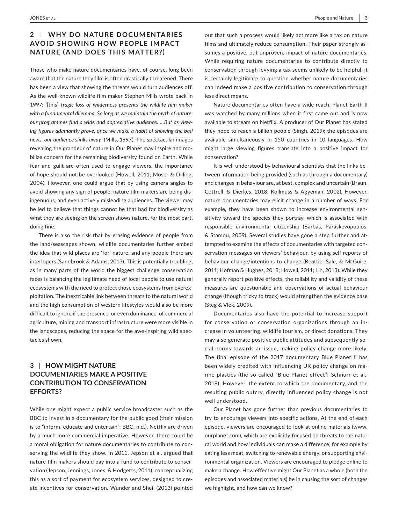#### **2** | **WHY DO NATURE DOCUMENTARIES AVOID SHOWING HOW PEOPLE IMPACT NATURE (AND DOES THIS MATTER?)**

Those who make nature documentaries have, of course, long been aware that the nature they film is often drastically threatened. There has been a view that showing the threats would turn audiences off. As the well‐known wildlife film maker Stephen Mills wrote back in 1997: '[this] *tragic loss of wilderness presents the wildlife film‐maker with a fundamental dilemma. So long as we maintain the myth of nature, our programmes find a wide and appreciative audience. …But as view‐ ing figures adamantly prove, once we make a habit of showing the bad news, our audience slinks away'* (Mills, 1997). The spectacular images revealing the grandeur of nature in Our Planet may inspire and mo‐ bilize concern for the remaining biodiversity found on Earth. While fear and guilt are often used to engage viewers, the importance of hope should not be overlooked (Howell, 2011; Moser & Dilling, 2004). However, one could argue that by using camera angles to avoid showing any sign of people, nature film makers are being dis‐ ingenuous, and even actively misleading audiences. The viewer may be led to believe that things cannot be that bad for biodiversity as what they are seeing on the screen shows nature, for the most part, doing fine.

There is also the risk that by erasing evidence of people from the land/seascapes shown, wildlife documentaries further embed the idea that wild places are 'for' nature, and any people there are interlopers (Sandbrook & Adams, 2013). This is potentially troubling, as in many parts of the world the biggest challenge conservation faces is balancing the legitimate need of local people to use natural ecosystems with the need to protect those ecosystems from overex‐ ploitation. The inextricable link between threats to the natural world and the high consumption of western lifestyles would also be more difficult to ignore if the presence, or even dominance, of commercial agriculture, mining and transport infrastructure were more visible in the landscapes, reducing the space for the awe‐inspiring wild spec‐ tacles shown.

#### **3** | **HOW MIGHT NATURE DOCUMENTARIES MAKE A POSITIVE CONTRIBUTION TO CONSERVATION EFFORTS?**

While one might expect a public service broadcaster such as the BBC to invest in a documentary for the public good (their mission is to "inform, educate and entertain"; BBC, n.d.), Netflix are driven by a much more commercial imperative. However, there could be a moral obligation for nature documentaries to contribute to con‐ serving the wildlife they show. In 2011, Jepson et al. argued that nature film makers should pay into a fund to contribute to conser‐ vation (Jepson, Jennings, Jones, & Hodgetts, 2011); conceptualizing this as a sort of payment for ecosystem services, designed to cre‐ ate incentives for conservation. Wunder and Sheil (2013) pointed

out that such a process would likely act more like a tax on nature films and ultimately reduce consumption. Their paper strongly assumes a positive, but unproven, impact of nature documentaries. While requiring nature documentaries to contribute directly to conservation through levying a tax seems unlikely to be helpful, it is certainly legitimate to question whether nature documentaries can indeed make a positive contribution to conservation through less direct means.

Nature documentaries often have a wide reach. Planet Earth II was watched by many millions when it first came out and is now available to stream on Netflix. A producer of Our Planet has stated they hope to reach a billion people (Singh, 2019); the episodes are available simultaneously in 150 countries in 10 languages. How might large viewing figures translate into a positive impact for conservation?

It is well understood by behavioural scientists that the links be‐ tween information being provided (such as through a documentary) and changes in behaviour are, at best, complex and uncertain (Braun, Cottrell, & Dierkes, 2018; Kollmuss & Agyeman, 2002). However, nature documentaries may elicit change in a number of ways. For example, they have been shown to increase environmental sensitivity toward the species they portray, which is associated with responsible environmental citizenship (Barbas, Paraskevopoulos, & Stamou, 2009). Several studies have gone a step further and at‐ tempted to examine the effects of documentaries with targeted con‐ servation messages on viewers' behaviour, by using self-reports of behaviour change/intentions to change (Beattie, Sale, & McGuire, 2011; Hofman & Hughes, 2018; Howell, 2011; Lin, 2013). While they generally report positive effects, the reliability and validity of these measures are questionable and observations of actual behaviour change (though tricky to track) would strengthen the evidence base (Steg & Vlek, 2009).

Documentaries also have the potential to increase support for conservation or conservation organizations through an in‐ crease in volunteering, wildlife tourism, or direct donations. They may also generate positive public attitudes and subsequently social norms towards an issue, making policy change more likely. The final episode of the 2017 documentary Blue Planet II has been widely credited with influencing UK policy change on ma‐ rine plastics (the so-called "Blue Planet effect"; Schnurr et al., 2018). However, the extent to which the documentary, and the resulting public outcry, directly influenced policy change is not well understood.

Our Planet has gone further than previous documentaries to try to encourage viewers into specific actions. At the end of each episode, viewers are encouraged to look at online materials ([www.](http://www.ourplanet.com) [ourplanet.com\)](http://www.ourplanet.com), which are explicitly focused on threats to the natural world and how individuals can make a difference, for example by eating less meat, switching to renewable energy, or supporting envi‐ ronmental organization. Viewers are encouraged to pledge online to make a change. How effective might Our Planet as a whole (both the episodes and associated materials) be in causing the sort of changes we highlight, and how can we know?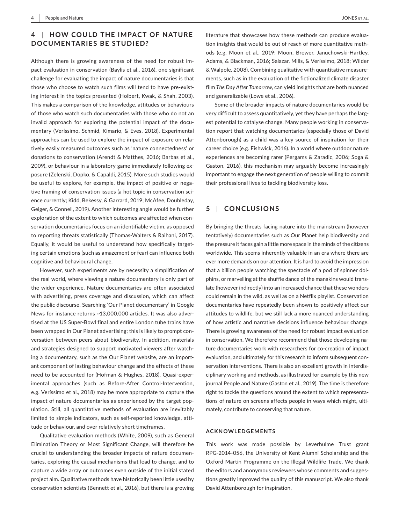#### **4** | **HOW COULD THE IMPAC T OF NATURE DOCUMENTARIES BE STUDIED?**

Although there is growing awareness of the need for robust im‐ pact evaluation in conservation (Baylis et al., 2016), one significant challenge for evaluating the impact of nature documentaries is that those who choose to watch such films will tend to have pre‐exist‐ ing interest in the topics presented (Holbert, Kwak, & Shah, 2003). This makes a comparison of the knowledge, attitudes or behaviours of those who watch such documentaries with those who do not an invalid approach for exploring the potential impact of the documentary (Veríssimo, Schmid, Kimario, & Eves, 2018). Experimental approaches can be used to explore the impact of exposure on rela‐ tively easily measured outcomes such as 'nature connectedness' or donations to conservation (Arendt & Matthes, 2016; Barbas et al., 2009), or behaviour in a laboratory game immediately following ex‐ posure (Zelenski, Dopko, & Capaldi, 2015). More such studies would be useful to explore, for example, the impact of positive or negative framing of conservation issues (a hot topic in conservation sci‐ ence currently; Kidd, Bekessy, & Garrard, 2019; McAfee, Doubleday, Geiger, & Connell, 2019). Another interesting angle would be further exploration of the extent to which outcomes are affected when conservation documentaries focus on an identifiable victim, as opposed to reporting threats statistically (Thomas‐Walters & Raihani, 2017). Equally, it would be useful to understand how specifically target‐ ing certain emotions (such as amazement or fear) can influence both cognitive and behavioural change.

However, such experiments are by necessity a simplification of the real world, where viewing a nature documentary is only part of the wider experience. Nature documentaries are often associated with advertising, press coverage and discussion, which can affect the public discourse. Searching 'Our Planet documentary' in Google News for instance returns ~13,000,000 articles. It was also adver‐ tised at the US Super‐Bowl final and entire London tube trains have been wrapped in Our Planet advertising; this is likely to prompt con‐ versation between peers about biodiversity. In addition, materials and strategies designed to support motivated viewers after watch‐ ing a documentary, such as the Our Planet website, are an import‐ ant component of lasting behaviour change and the effects of these need to be accounted for (Hofman & Hughes, 2018). Quasi‐exper‐ imental approaches (such as Before-After Control-Intervention, e.g. Veríssimo et al., 2018) may be more appropriate to capture the impact of nature documentaries as experienced by the target population. Still, all quantitative methods of evaluation are inevitably limited to simple indicators, such as self‐reported knowledge, atti‐ tude or behaviour, and over relatively short timeframes.

Qualitative evaluation methods (White, 2009), such as General Elimination Theory or Most Significant Change, will therefore be crucial to understanding the broader impacts of nature documen‐ taries, exploring the causal mechanisms that lead to change, and to capture a wide array or outcomes even outside of the initial stated project aim. Qualitative methods have historically been little used by conservation scientists (Bennett et al., 2016), but there is a growing

literature that showcases how these methods can produce evalua‐ tion insights that would be out of reach of more quantitative meth‐ ods (e.g. Moon et al., 2019; Moon, Brewer, Januchowski‐Hartley, Adams, & Blackman, 2016; Salazar, Mills, & Veríssimo, 2018; Wilder & Walpole, 2008). Combining qualitative with quantitative measure‐ ments, such as in the evaluation of the fictionalized climate disaster film *The Day After Tomorrow*, can yield insights that are both nuanced and generalizable (Lowe et al., 2006).

Some of the broader impacts of nature documentaries would be very difficult to assess quantitatively, yet they have perhaps the larg‐ est potential to catalyse change. Many people working in conserva‐ tion report that watching documentaries (especially those of David Attenborough) as a child was a key source of inspiration for their career choice (e.g. Fishwick, 2016). In a world where outdoor nature experiences are becoming rarer (Pergams & Zaradic, 2006; Soga & Gaston, 2016), this mechanism may arguably become increasingly important to engage the next generation of people willing to commit their professional lives to tackling biodiversity loss.

#### **5** | **CONCLUSIONS**

By bringing the threats facing nature into the mainstream (however tentatively) documentaries such as Our Planet help biodiversity and the pressure it faces gain a little more space in the minds of the citizens worldwide. This seems inherently valuable in an era where there are ever more demands on our attention. It is hard to avoid the impression that a billion people watching the spectacle of a pod of spinner dol‐ phins, or marvelling at the shuffle dance of the manakins would translate (however indirectly) into an increased chance that these wonders could remain in the wild, as well as on a Netflix playlist. Conservation documentaries have repeatedly been shown to positively affect our attitudes to wildlife, but we still lack a more nuanced understanding of how artistic and narrative decisions influence behaviour change. There is growing awareness of the need for robust impact evaluation in conservation. We therefore recommend that those developing nature documentaries work with researchers for co‐creation of impact evaluation, and ultimately for this research to inform subsequent con‐ servation interventions. There is also an excellent growth in interdis‐ ciplinary working and methods, as illustrated for example by this new journal People and Nature (Gaston et al., 2019). The time is therefore right to tackle the questions around the extent to which representa‐ tions of nature on screens affects people in ways which might, ulti‐ mately, contribute to conserving that nature.

#### **ACKNOWLEDGEMENTS**

This work was made possible by Leverhulme Trust grant RPG‐2014‐056, the University of Kent Alumni Scholarship and the Oxford Martin Programme on the Illegal Wildlife Trade. We thank the editors and anonymous reviewers whose comments and sugges‐ tions greatly improved the quality of this manuscript. We also thank David Attenborough for inspiration.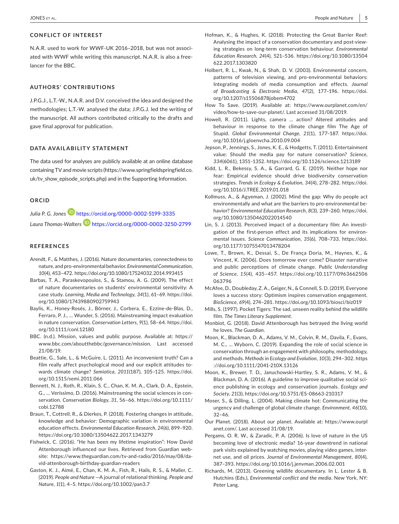#### **CONFLICT OF INTEREST**

N.A.R. used to work for WWF‐UK 2016–2018, but was not associ‐ ated with WWF while writing this manuscript. N.A.R. is also a free‐ lancer for the BBC.

#### **AUTHORS' CONTRIBUTIONS**

J.P.G.J., L.T.‐W., N.A.R. and D.V. conceived the idea and designed the methodologies; L.T.‐W. analysed the data; J.P.G.J. led the writing of the manuscript. All authors contributed critically to the drafts and gave final approval for publication.

#### **DATA AVAILABILITY STATEMENT**

The data used for analyses are publicly available at an online database containing TV and movie scripts ([https://www.springfieldspringfield.co.](https://www.springfieldspringfield.co.uk/tv_show_episode_scripts.php) [uk/tv\\_show\\_episode\\_scripts.php](https://www.springfieldspringfield.co.uk/tv_show_episode_scripts.php)) and in the Supporting Information.

#### **ORCID**

Julia P. G. Jones<sup>1</sup> <https://orcid.org/0000-0002-5199-3335> *Laura Thomas‐Walters* <https://orcid.org/0000-0002-3250-2799>

#### **REFERENCES**

- Arendt, F., & Matthes, J. (2016). Nature documentaries, connectedness to nature, and pro‐environmental behavior. *Environmental Communication*, *10*(4), 453–472. <https://doi.org/10.1080/17524032.2014.993415>
- Barbas, T. A., Paraskevopoulos, S., & Stamou, A. G. (2009). The effect of nature documentaries on students' environmental sensitivity: A case study. *Learning, Media and Technology*, *34*(1), 61–69. [https://doi.](https://doi.org/10.1080/17439880902759943) [org/10.1080/17439880902759943](https://doi.org/10.1080/17439880902759943)
- Baylis, K., Honey‐Rosés, J., Börner, J., Corbera, E., Ezzine‐de‐Blas, D., Ferraro, P. J., … Wunder, S. (2016). Mainstreaming impact evaluation in nature conservation. *Conservation Letters*, *9*(1), 58–64. [https://doi.](https://doi.org/10.1111/conl.12180) [org/10.1111/conl.12180](https://doi.org/10.1111/conl.12180)
- BBC. (n.d.). Mission, values and public purpose. Available at: [https://](https://www.bbc.com/aboutthebbc/governance/mission) [www.bbc.com/aboutthebbc/governance/mission](https://www.bbc.com/aboutthebbc/governance/mission). Last accessed 21/08/19.
- Beattie, G., Sale, L., & McGuire, L. (2011). An inconvenient truth? Can a film really affect psychological mood and our explicit attitudes to‐ wards climate change? *Semiotica*, *2011*(187), 105–125. [https://doi.](https://doi.org/10.1515/semi.2011.066) [org/10.1515/semi.2011.066](https://doi.org/10.1515/semi.2011.066)
- Bennett, N. J., Roth, R., Klain, S. C., Chan, K. M. A., Clark, D. A., Epstein, G., … Veríssimo, D. (2016). Mainstreaming the social sciences in con‐ servation. *Conservation Biology*, *31*, 56–66. [https://doi.org/10.1111/](https://doi.org/10.1111/cobi.12788) [cobi.12788](https://doi.org/10.1111/cobi.12788)
- Braun, T., Cottrell, R., & Dierkes, P. (2018). Fostering changes in attitude, knowledge and behavior: Demographic variation in environmental education effects. *Environmental Education Research*, *24*(6), 899–920. <https://doi.org/10.1080/13504622.2017.1343279>
- Fishwick, C. (2016). "He has been my lifetime inspiration": How David Attenborough influenced our lives. Retrieved from Guardian web‐ site: [https://www.theguardian.com/tv-and-radio/2016/may/08/da‐](https://www.theguardian.com/tv-and-radio/2016/may/08/david-attenborough-birthday-guardian-readers) [vid-attenborough-birthday-guardian-readers](https://www.theguardian.com/tv-and-radio/2016/may/08/david-attenborough-birthday-guardian-readers)
- Gaston, K. J., Aimé, E., Chan, K. M. A., Fish, R., Hails, R. S., & Maller, C. (2019). *People and Nature* —A journal of relational thinking. *People and Nature*, *1*(1), 4–5. <https://doi.org/10.1002/pan3.7>
- Hofman, K., & Hughes, K. (2018). Protecting the Great Barrier Reef: Analysing the impact of a conservation documentary and post-viewing strategies on long‐term conservation behaviour. *Environmental Education Research*, *24*(4), 521–536. [https://doi.org/10.1080/13504](https://doi.org/10.1080/13504622.2017.1303820) [622.2017.1303820](https://doi.org/10.1080/13504622.2017.1303820)
- Holbert, R. L., Kwak, N., & Shah, D. V. (2003). Environmental concern, patterns of television viewing, and pro‐environmental behaviors: Integrating models of media consumption and effects. *Journal of Broadcasting & Electronic Media*, *47*(2), 177–196. [https://doi.](https://doi.org/10.1207/s15506878jobem4702) [org/10.1207/s15506878jobem4702](https://doi.org/10.1207/s15506878jobem4702)
- How To Save. (2019). Available at: [https://www.ourplanet.com/en/](https://www.ourplanet.com/en/video/how-to-save-our-planet/) [video/how-to-save-our-planet/.](https://www.ourplanet.com/en/video/how-to-save-our-planet/) Last accessed 31/08/2019.
- Howell, R. (2011). Lights, camera … action? Altered attitudes and behaviour in response to the climate change film The Age of Stupid. *Global Environmental Change*, *21*(1), 177–187. [https://doi.](https://doi.org/10.1016/j.gloenvcha.2010.09.004) [org/10.1016/j.gloenvcha.2010.09.004](https://doi.org/10.1016/j.gloenvcha.2010.09.004)
- Jepson, P., Jennings, S., Jones, K. E., & Hodgetts, T. (2011). Entertainment value: Should the media pay for nature conservation? *Science*, *334*(6061), 1351–1352. <https://doi.org/10.1126/science.1213189>
- Kidd, L. R., Bekessy, S. A., & Garrard, G. E. (2019). Neither hope nor fear: Empirical evidence should drive biodiversity conservation strategies. *Trends in Ecology & Evolution*, *34*(4), 278–282. [https://doi.](https://doi.org/10.1016/J.TREE.2019.01.018) [org/10.1016/J.TREE.2019.01.018](https://doi.org/10.1016/J.TREE.2019.01.018)
- Kollmuss, A., & Agyeman, J. (2002). Mind the gap: Why do people act environmentally and what are the barriers to pro‐environmental be‐ havior? *Environmental Education Research*, *8*(3), 239–260. [https://doi.](https://doi.org/10.1080/1350462022014540) [org/10.1080/1350462022014540](https://doi.org/10.1080/1350462022014540)
- Lin, S. J. (2013). Perceived impact of a documentary film: An investigation of the first-person effect and its implications for environmental issues. *Science Communication*, *35*(6), 708–733. [https://doi.](https://doi.org/10.1177/1075547013478204) [org/10.1177/1075547013478204](https://doi.org/10.1177/1075547013478204)
- Lowe, T., Brown, K., Dessai, S., De França Doria, M., Haynes, K., & Vincent, K. (2006). Does tomorrow ever come? Disaster narrative and public perceptions of climate change. *Public Understanding of Science*, *15*(4), 435–457. [https://doi.org/10.1177/0963662506](https://doi.org/10.1177/0963662506063796) [063796](https://doi.org/10.1177/0963662506063796)
- McAfee, D., Doubleday, Z. A., Geiger, N., & Connell, S. D. (2019). Everyone loves a success story: Optimism inspires conservation engagement. *BioScience*, *69*(4), 274–281. <https://doi.org/10.1093/biosci/biz019>
- Mills, S. (1997). Pocket Tigers: The sad, unseen reality behind the wildlife film. *The Times Literary Supplement*.
- Monbiot, G. (2018). David Attenborough has betrayed the living world he loves. *The Guardian*.
- Moon, K., Blackman, D. A., Adams, V. M., Colvin, R. M., Davila, F., Evans, M. C., … Wyborn, C. (2019). Expanding the role of social science in conservation through an engagement with philosophy, methodology, and methods. *Methods in Ecology and Evolution*, *10*(3), 294–302. [https](https://doi.org/10.1111/2041-210X.13126) [://doi.org/10.1111/2041-210X.13126](https://doi.org/10.1111/2041-210X.13126)
- Moon, K., Brewer, T. D., Januchowski‐Hartley, S. R., Adams, V. M., & Blackman, D. A. (2016). A guideline to improve qualitative social sci‐ ence publishing in ecology and conservation journals. *Ecology and Society*, *21*(3), <https://doi.org/10.5751/ES-08663-210317>
- Moser, S., & Dilling, L. (2004). Making climate hot: Communicating the urgency and challenge of global climate change. *Environment*, *46*(10), 32–46.
- Our Planet. (2018). About our planet. Available at: [https://www.ourpl](https://www.ourplanet.com/) [anet.com/.](https://www.ourplanet.com/) Last accessed 31/08/19.
- Pergams, O. R. W., & Zaradic, P. A. (2006). Is love of nature in the US becoming love of electronic media? 16‐year downtrend in national park visits explained by watching movies, playing video games, inter‐ net use, and oil prices. *Journal of Environmental Management*, *80*(4), 387–393. <https://doi.org/10.1016/j.jenvman.2006.02.001>
- Richards, M. (2013). Greening wildlife documentary. In L. Lester & B. Hutchins (Eds.), *Environmental conflict and the media*. New York, NY: Peter Lang.